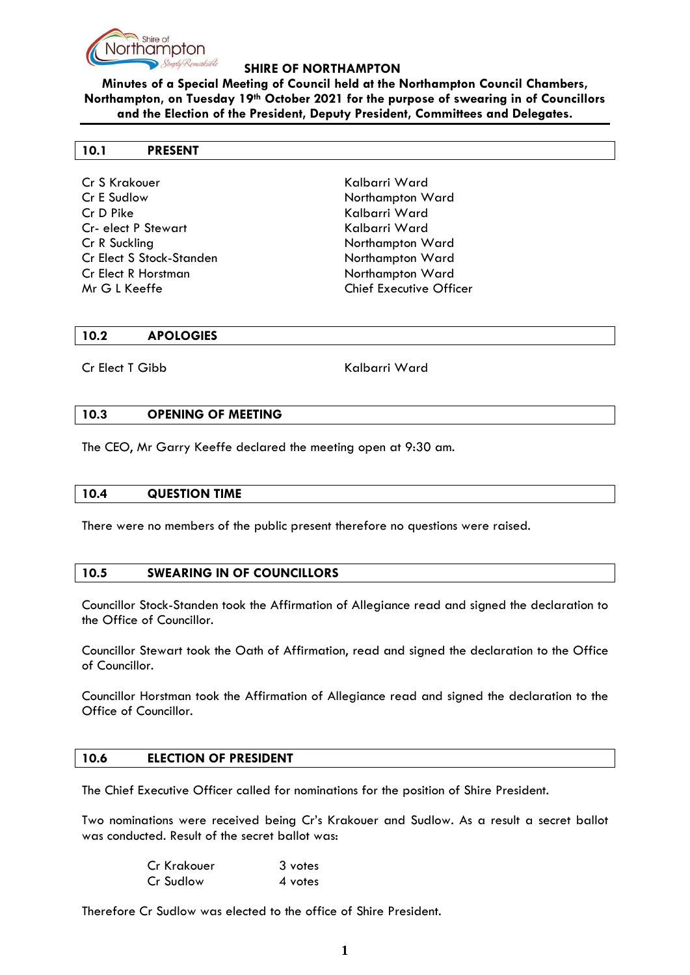

**Minutes of a Special Meeting of Council held at the Northampton Council Chambers, Northampton, on Tuesday 19th October 2021 for the purpose of swearing in of Councillors and the Election of the President, Deputy President, Committees and Delegates.**

#### **10.1 PRESENT**

Cr S Krakouer Kalbarri Ward Cr E Sudlow Northampton Ward Cr D Pike Kalbarri Ward Cr- elect P Stewart Kalbarri Ward Cr R Suckling Northampton Ward Cr Elect S Stock-Standen Northampton Ward Cr Elect R Horstman Northampton Ward Mr G L Keeffe **Chief Executive Officer** 

#### **10.2 APOLOGIES**

Cr Elect T Gibb Kalbarri Ward

#### **10.3 OPENING OF MEETING**

The CEO, Mr Garry Keeffe declared the meeting open at 9:30 am.

#### **10.4 QUESTION TIME**

There were no members of the public present therefore no questions were raised.

## **10.5 SWEARING IN OF COUNCILLORS**

Councillor Stock-Standen took the Affirmation of Allegiance read and signed the declaration to the Office of Councillor.

Councillor Stewart took the Oath of Affirmation, read and signed the declaration to the Office of Councillor.

Councillor Horstman took the Affirmation of Allegiance read and signed the declaration to the Office of Councillor.

## **10.6 ELECTION OF PRESIDENT**

The Chief Executive Officer called for nominations for the position of Shire President.

Two nominations were received being Cr's Krakouer and Sudlow. As a result a secret ballot was conducted. Result of the secret ballot was:

| Cr Krakouer | 3 votes |
|-------------|---------|
| Cr Sudlow   | 4 votes |

Therefore Cr Sudlow was elected to the office of Shire President.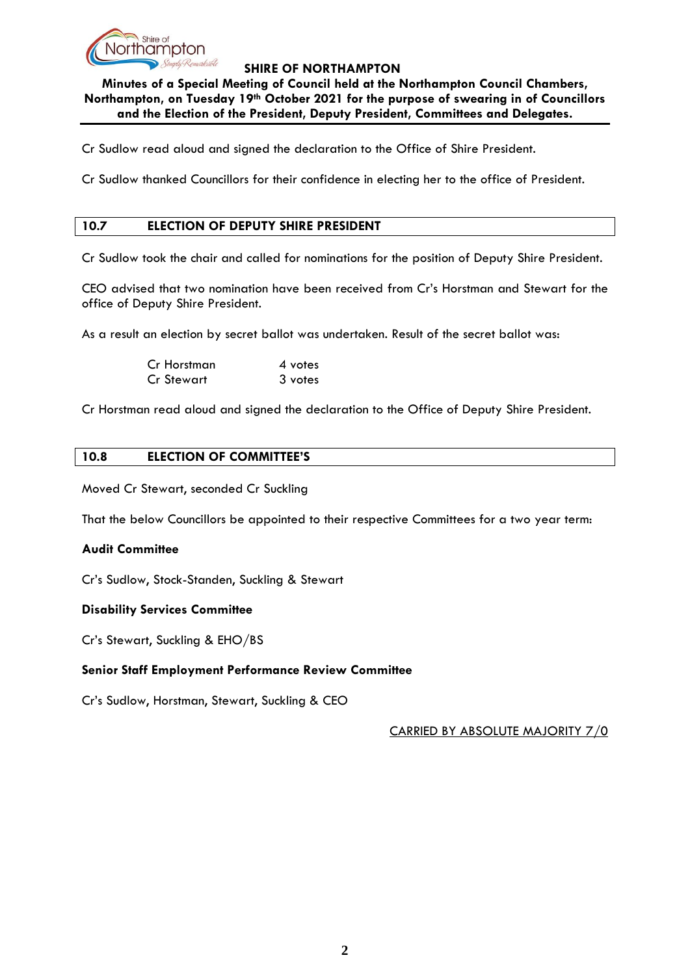

**Minutes of a Special Meeting of Council held at the Northampton Council Chambers, Northampton, on Tuesday 19th October 2021 for the purpose of swearing in of Councillors and the Election of the President, Deputy President, Committees and Delegates.**

Cr Sudlow read aloud and signed the declaration to the Office of Shire President.

Cr Sudlow thanked Councillors for their confidence in electing her to the office of President.

# **10.7 ELECTION OF DEPUTY SHIRE PRESIDENT**

Cr Sudlow took the chair and called for nominations for the position of Deputy Shire President.

CEO advised that two nomination have been received from Cr's Horstman and Stewart for the office of Deputy Shire President.

As a result an election by secret ballot was undertaken. Result of the secret ballot was:

| Cr Horstman | 4 votes |
|-------------|---------|
| Cr Stewart  | 3 votes |

Cr Horstman read aloud and signed the declaration to the Office of Deputy Shire President.

## **10.8 ELECTION OF COMMITTEE'S**

Moved Cr Stewart, seconded Cr Suckling

That the below Councillors be appointed to their respective Committees for a two year term:

## **Audit Committee**

Cr's Sudlow, Stock-Standen, Suckling & Stewart

## **Disability Services Committee**

Cr's Stewart, Suckling & EHO/BS

## **Senior Staff Employment Performance Review Committee**

Cr's Sudlow, Horstman, Stewart, Suckling & CEO

CARRIED BY ABSOLUTE MAJORITY 7/0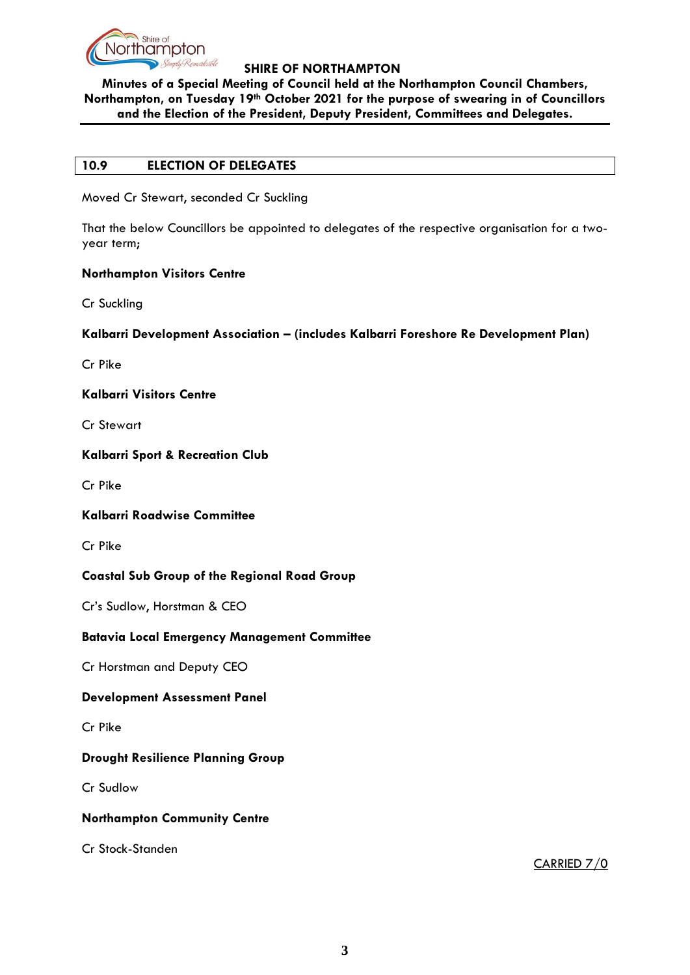

**Minutes of a Special Meeting of Council held at the Northampton Council Chambers, Northampton, on Tuesday 19th October 2021 for the purpose of swearing in of Councillors and the Election of the President, Deputy President, Committees and Delegates.**

## **10.9 ELECTION OF DELEGATES**

Moved Cr Stewart, seconded Cr Suckling

That the below Councillors be appointed to delegates of the respective organisation for a twoyear term;

# **Northampton Visitors Centre**

Cr Suckling

## **Kalbarri Development Association – (includes Kalbarri Foreshore Re Development Plan)**

Cr Pike

## **Kalbarri Visitors Centre**

Cr Stewart

## **Kalbarri Sport & Recreation Club**

Cr Pike

## **Kalbarri Roadwise Committee**

Cr Pike

# **Coastal Sub Group of the Regional Road Group**

Cr's Sudlow, Horstman & CEO

# **Batavia Local Emergency Management Committee**

Cr Horstman and Deputy CEO

## **Development Assessment Panel**

Cr Pike

# **Drought Resilience Planning Group**

Cr Sudlow

## **Northampton Community Centre**

Cr Stock-Standen

CARRIED 7/0